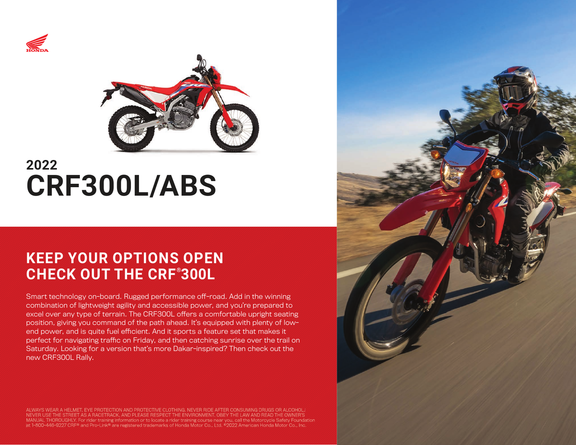



# **2022 CRF300L/ABS**

# **KEEP YOUR OPTIONS OPEN CHECK OUT THE CRF® 300L**

Smart technology on-board. Rugged performance off-road. Add in the winning combination of lightweight agility and accessible power, and you're prepared to excel over any type of terrain. The CRF300L offers a comfortable upright seating position, giving you command of the path ahead. It's equipped with plenty of lowend power, and is quite fuel efficient. And it sports a feature set that makes it perfect for navigating traffic on Friday, and then catching sunrise over the trail on Saturday. Looking for a version that's more Dakar-inspired? Then check out the new CRF300L Rally.

ALWAYS WEAR A HELMET, EYE PROTECTION AND PROTECTIVE CLOTHING. NEVER RIDE AFTER CONSUMING DRUGS OR ALCOHOL. USE THE STREET AS A RACETRACK, AND PLEASE RESPECT THE ENVIRONMENT. OBEY THE LAW AND READ THE OWNER'S at 1-800-446-9227 CRF® and Pro-Link® are registered trademarks of Honda Motor Co., Ltd. ©2022 American Honda Motor Co., Inc.